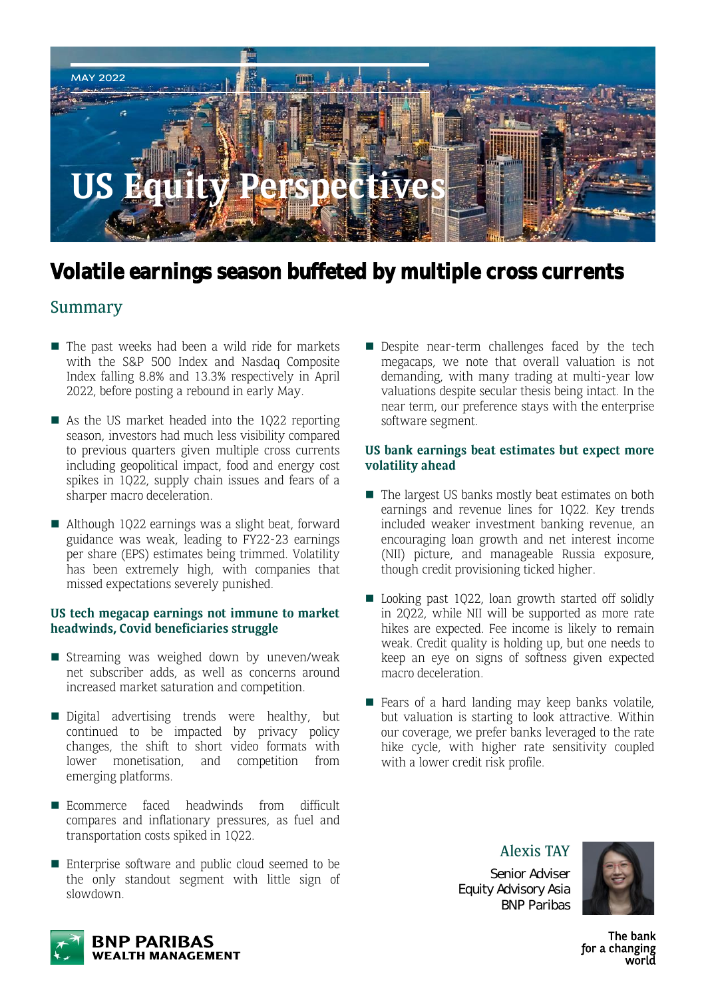

## **Volatile earnings season buffeted by multiple cross currents**

### Summary

- $\blacksquare$  The past weeks had been a wild ride for markets with the S&P 500 Index and Nasdaq Composite Index falling 8.8% and 13.3% respectively in April 2022, before posting a rebound in early May.
- As the US market headed into the  $1022$  reporting season, investors had much less visibility compared to previous quarters given multiple cross currents including geopolitical impact, food and energy cost spikes in 1Q22, supply chain issues and fears of a sharper macro deceleration.
- Although 1Q22 earnings was a slight beat, forward guidance was weak, leading to FY22-23 earnings per share (EPS) estimates being trimmed. Volatility has been extremely high, with companies that missed expectations severely punished.

#### **US tech megacap earnings not immune to market headwinds, Covid beneficiaries struggle**

- **Streaming was weighed down by uneven/weak** net subscriber adds, as well as concerns around increased market saturation and competition.
- Digital advertising trends were healthy, but continued to be impacted by privacy policy changes, the shift to short video formats with lower monetisation, and competition from emerging platforms.
- Ecommerce faced headwinds from difficult compares and inflationary pressures, as fuel and transportation costs spiked in 1Q22.
- Enterprise software and public cloud seemed to be the only standout segment with little sign of slowdown.

Despite near-term challenges faced by the tech megacaps, we note that overall valuation is not demanding, with many trading at multi-year low valuations despite secular thesis being intact. In the near term, our preference stays with the enterprise software segment.

#### **US bank earnings beat estimates but expect more volatility ahead**

- $\blacksquare$  The largest US banks mostly beat estimates on both earnings and revenue lines for 1Q22. Key trends included weaker investment banking revenue, an encouraging loan growth and net interest income (NII) picture, and manageable Russia exposure, though credit provisioning ticked higher.
- Looking past 1Q22, loan growth started off solidly in 2Q22, while NII will be supported as more rate hikes are expected. Fee income is likely to remain weak. Credit quality is holding up, but one needs to keep an eye on signs of softness given expected macro deceleration.
- $\blacksquare$  Fears of a hard landing may keep banks volatile, but valuation is starting to look attractive. Within our coverage, we prefer banks leveraged to the rate hike cycle, with higher rate sensitivity coupled with a lower credit risk profile.

Alexis TAY Senior Adviser Equity Advisory Asia BNP Paribas



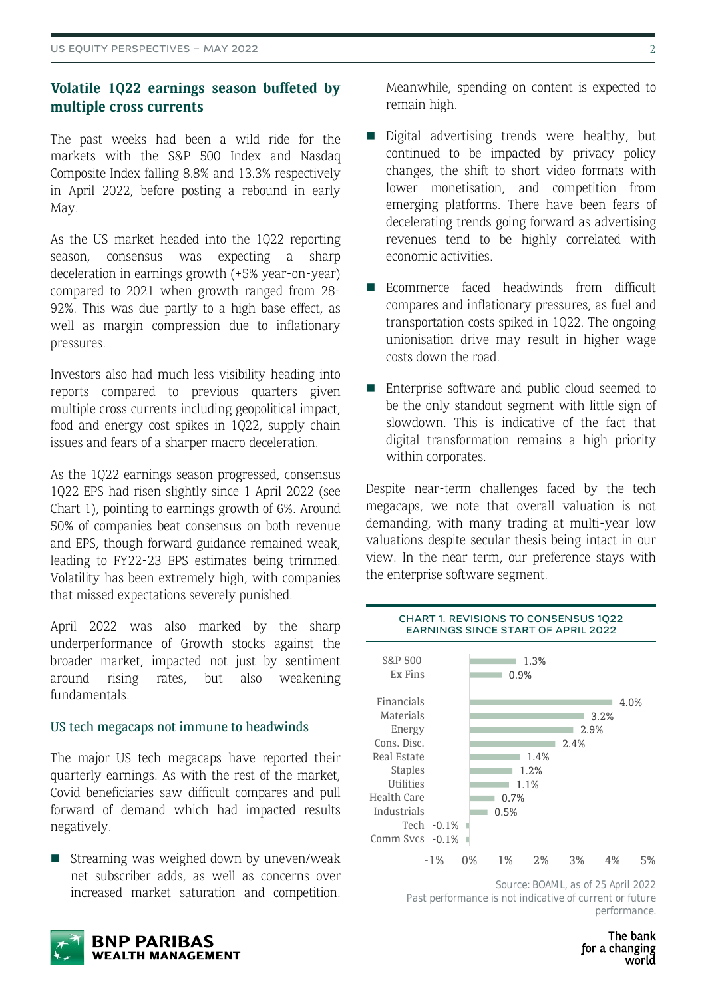### **Volatile 1Q22 earnings season buffeted by multiple cross currents**

The past weeks had been a wild ride for the markets with the S&P 500 Index and Nasdaq Composite Index falling 8.8% and 13.3% respectively in April 2022, before posting a rebound in early May.

As the US market headed into the 1Q22 reporting season, consensus was expecting a sharp deceleration in earnings growth (+5% year-on-year) compared to 2021 when growth ranged from 28- 92%. This was due partly to a high base effect, as well as margin compression due to inflationary pressures.

Investors also had much less visibility heading into reports compared to previous quarters given multiple cross currents including geopolitical impact, food and energy cost spikes in 1Q22, supply chain issues and fears of a sharper macro deceleration.

As the 1Q22 earnings season progressed, consensus 1Q22 EPS had risen slightly since 1 April 2022 (see Chart 1), pointing to earnings growth of 6%. Around 50% of companies beat consensus on both revenue and EPS, though forward guidance remained weak, leading to FY22-23 EPS estimates being trimmed. Volatility has been extremely high, with companies that missed expectations severely punished.

April 2022 was also marked by the sharp underperformance of Growth stocks against the broader market, impacted not just by sentiment around rising rates, but also weakening fundamentals.

#### US tech megacaps not immune to headwinds

The major US tech megacaps have reported their quarterly earnings. As with the rest of the market, Covid beneficiaries saw difficult compares and pull forward of demand which had impacted results negatively.

 $\blacksquare$  Streaming was weighed down by uneven/weak net subscriber adds, as well as concerns over increased market saturation and competition.



- Digital advertising trends were healthy, but continued to be impacted by privacy policy changes, the shift to short video formats with lower monetisation, and competition from emerging platforms. There have been fears of decelerating trends going forward as advertising revenues tend to be highly correlated with economic activities.
- Ecommerce faced headwinds from difficult compares and inflationary pressures, as fuel and transportation costs spiked in 1Q22. The ongoing unionisation drive may result in higher wage costs down the road.
- Enterprise software and public cloud seemed to be the only standout segment with little sign of slowdown. This is indicative of the fact that digital transformation remains a high priority within corporates.

Despite near-term challenges faced by the tech megacaps, we note that overall valuation is not demanding, with many trading at multi-year low valuations despite secular thesis being intact in our view. In the near term, our preference stays with the enterprise software segment.

**CHART 1. REVISIONS TO CONSENSUS 1Q22** 



*Source: BOAML, as of 25 April 2022* Past performance is not indicative of current or future *performance.* 

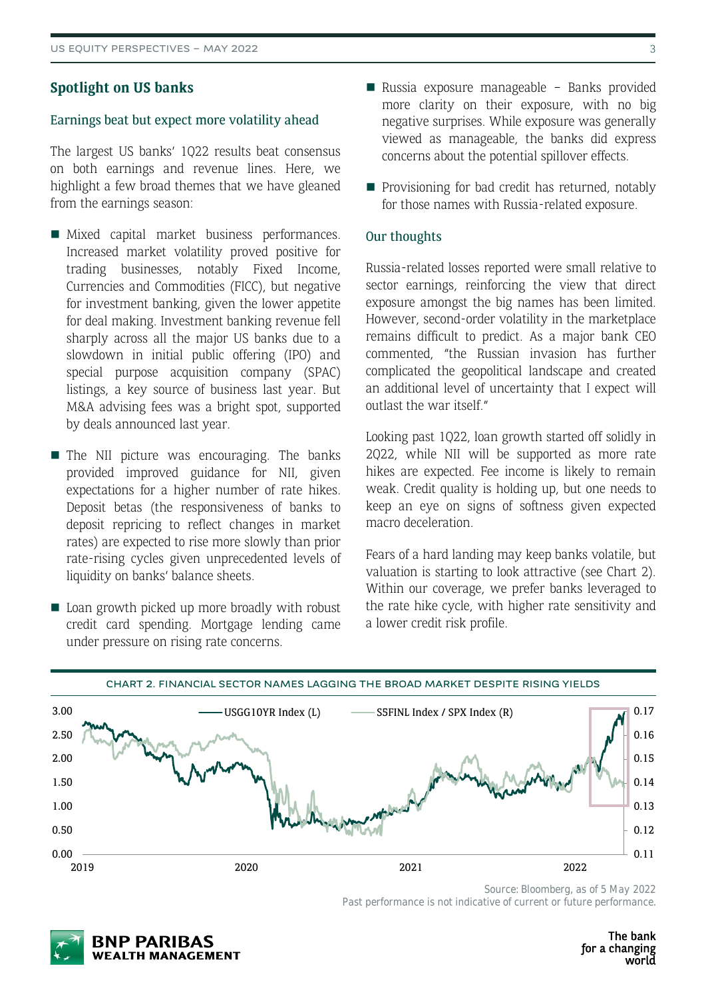#### **Spotlight on US banks**

#### Earnings beat but expect more volatility ahead

The largest US banks' 1Q22 results beat consensus on both earnings and revenue lines. Here, we highlight a few broad themes that we have gleaned from the earnings season:

- Mixed capital market business performances. Increased market volatility proved positive for trading businesses, notably Fixed Income, Currencies and Commodities (FICC), but negative for investment banking, given the lower appetite for deal making. Investment banking revenue fell sharply across all the major US banks due to a slowdown in initial public offering (IPO) and special purpose acquisition company (SPAC) listings, a key source of business last year. But M&A advising fees was a bright spot, supported by deals announced last year.
- $\blacksquare$  The NII picture was encouraging. The banks provided improved guidance for NII, given expectations for a higher number of rate hikes. Deposit betas (the responsiveness of banks to deposit repricing to reflect changes in market rates) are expected to rise more slowly than prior rate-rising cycles given unprecedented levels of liquidity on banks' balance sheets.
- Loan growth picked up more broadly with robust credit card spending. Mortgage lending came under pressure on rising rate concerns.
- Russia exposure manageable Banks provided more clarity on their exposure, with no big negative surprises. While exposure was generally viewed as manageable, the banks did express concerns about the potential spillover effects.
- **Provisioning for bad credit has returned, notably** for those names with Russia-related exposure.

#### Our thoughts

Russia-related losses reported were small relative to sector earnings, reinforcing the view that direct exposure amongst the big names has been limited. However, second-order volatility in the marketplace remains difficult to predict. As a major bank CEO commented, "the Russian invasion has further complicated the geopolitical landscape and created an additional level of uncertainty that I expect will outlast the war itself."

Looking past 1Q22, loan growth started off solidly in 2Q22, while NII will be supported as more rate hikes are expected. Fee income is likely to remain weak. Credit quality is holding up, but one needs to keep an eye on signs of softness given expected macro deceleration.

Fears of a hard landing may keep banks volatile, but valuation is starting to look attractive (see Chart 2). Within our coverage, we prefer banks leveraged to the rate hike cycle, with higher rate sensitivity and a lower credit risk profile.



*Source: Bloomberg, as of 5 May 2022 Past performance is not indicative of current or future performance.* 

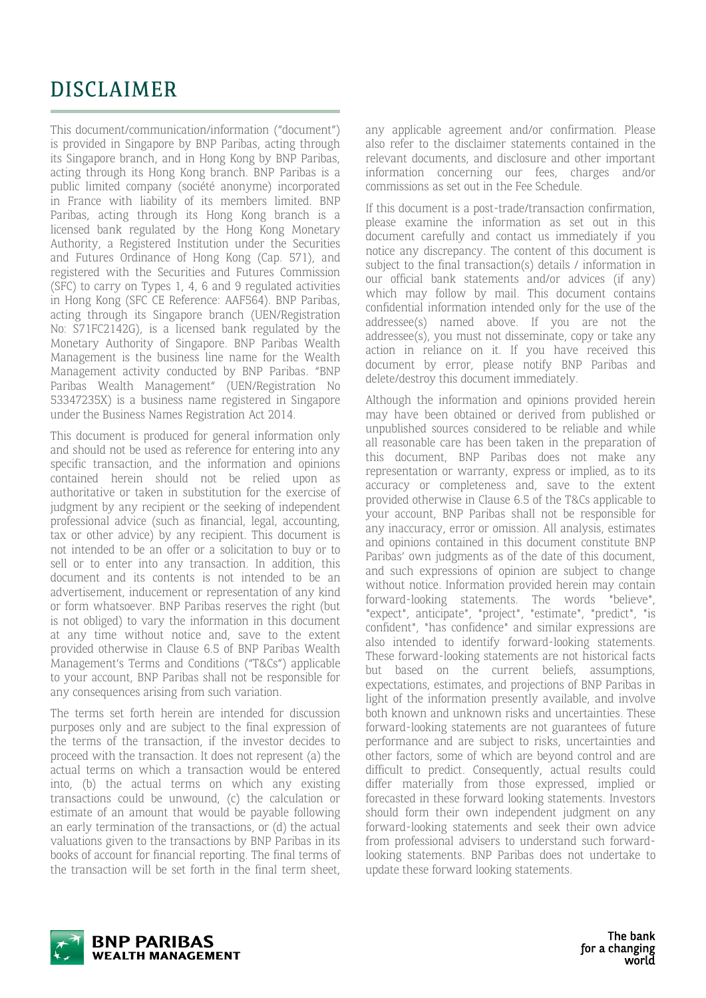# DISCLAIMER

This document/communication/information ("document") is provided in Singapore by BNP Paribas, acting through its Singapore branch, and in Hong Kong by BNP Paribas, acting through its Hong Kong branch. BNP Paribas is a public limited company (société anonyme) incorporated in France with liability of its members limited. BNP Paribas, acting through its Hong Kong branch is a licensed bank regulated by the Hong Kong Monetary Authority, a Registered Institution under the Securities and Futures Ordinance of Hong Kong (Cap. 571), and registered with the Securities and Futures Commission (SFC) to carry on Types 1, 4, 6 and 9 regulated activities in Hong Kong (SFC CE Reference: AAF564). BNP Paribas, acting through its Singapore branch (UEN/Registration No: S71FC2142G), is a licensed bank regulated by the Monetary Authority of Singapore. BNP Paribas Wealth Management is the business line name for the Wealth Management activity conducted by BNP Paribas. "BNP Paribas Wealth Management" (UEN/Registration No 53347235X) is a business name registered in Singapore under the Business Names Registration Act 2014.

This document is produced for general information only and should not be used as reference for entering into any specific transaction, and the information and opinions contained herein should not be relied upon as authoritative or taken in substitution for the exercise of judgment by any recipient or the seeking of independent professional advice (such as financial, legal, accounting, tax or other advice) by any recipient. This document is not intended to be an offer or a solicitation to buy or to sell or to enter into any transaction. In addition, this document and its contents is not intended to be an advertisement, inducement or representation of any kind or form whatsoever. BNP Paribas reserves the right (but is not obliged) to vary the information in this document at any time without notice and, save to the extent provided otherwise in Clause 6.5 of BNP Paribas Wealth Management's Terms and Conditions ("T&Cs") applicable to your account, BNP Paribas shall not be responsible for any consequences arising from such variation.

The terms set forth herein are intended for discussion purposes only and are subject to the final expression of the terms of the transaction, if the investor decides to proceed with the transaction. It does not represent (a) the actual terms on which a transaction would be entered into, (b) the actual terms on which any existing transactions could be unwound, (c) the calculation or estimate of an amount that would be payable following an early termination of the transactions, or (d) the actual valuations given to the transactions by BNP Paribas in its books of account for financial reporting. The final terms of the transaction will be set forth in the final term sheet, any applicable agreement and/or confirmation. Please also refer to the disclaimer statements contained in the relevant documents, and disclosure and other important information concerning our fees, charges and/or commissions as set out in the Fee Schedule.

If this document is a post-trade/transaction confirmation, please examine the information as set out in this document carefully and contact us immediately if you notice any discrepancy. The content of this document is subject to the final transaction(s) details / information in our official bank statements and/or advices (if any) which may follow by mail. This document contains confidential information intended only for the use of the addressee(s) named above. If you are not the addressee(s), you must not disseminate, copy or take any action in reliance on it. If you have received this document by error, please notify BNP Paribas and delete/destroy this document immediately.

Although the information and opinions provided herein may have been obtained or derived from published or unpublished sources considered to be reliable and while all reasonable care has been taken in the preparation of this document, BNP Paribas does not make any representation or warranty, express or implied, as to its accuracy or completeness and, save to the extent provided otherwise in Clause 6.5 of the T&Cs applicable to your account, BNP Paribas shall not be responsible for any inaccuracy, error or omission. All analysis, estimates and opinions contained in this document constitute BNP Paribas' own judgments as of the date of this document, and such expressions of opinion are subject to change without notice. Information provided herein may contain forward-looking statements. The words "believe", "expect", anticipate", "project", "estimate", "predict", "is confident", "has confidence" and similar expressions are also intended to identify forward-looking statements. These forward-looking statements are not historical facts but based on the current beliefs, assumptions, expectations, estimates, and projections of BNP Paribas in light of the information presently available, and involve both known and unknown risks and uncertainties. These forward-looking statements are not guarantees of future performance and are subject to risks, uncertainties and other factors, some of which are beyond control and are difficult to predict. Consequently, actual results could differ materially from those expressed, implied or forecasted in these forward looking statements. Investors should form their own independent judgment on any forward-looking statements and seek their own advice from professional advisers to understand such forwardlooking statements. BNP Paribas does not undertake to update these forward looking statements.

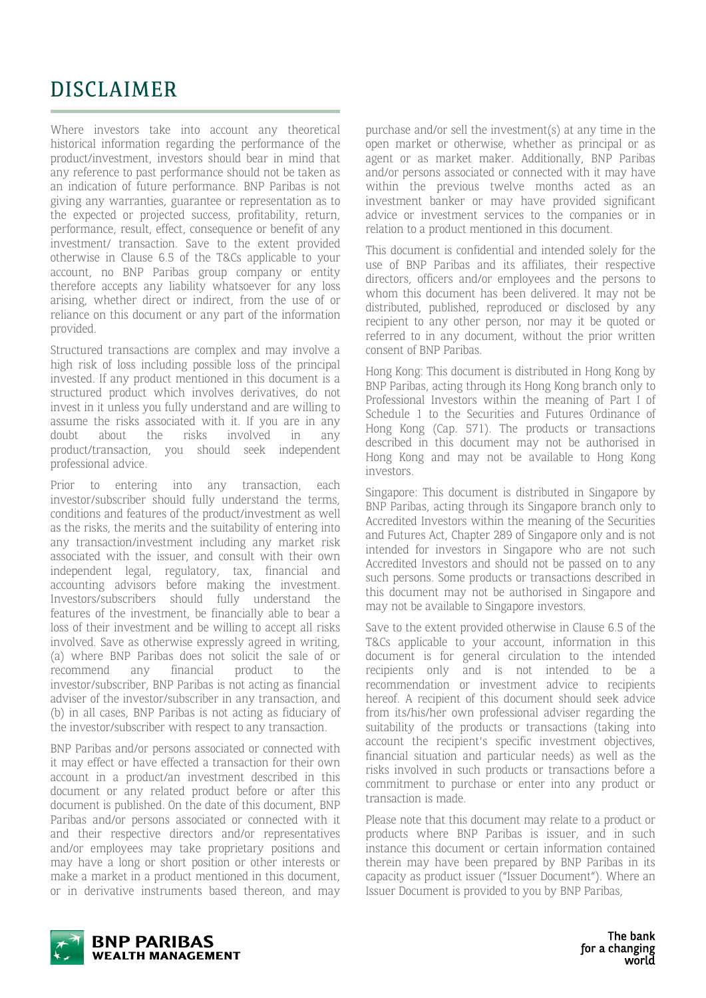# DISCLAIMER

Where investors take into account any theoretical historical information regarding the performance of the product/investment, investors should bear in mind that any reference to past performance should not be taken as an indication of future performance. BNP Paribas is not giving any warranties, guarantee or representation as to the expected or projected success, profitability, return, performance, result, effect, consequence or benefit of any investment/ transaction. Save to the extent provided otherwise in Clause 6.5 of the T&Cs applicable to your account, no BNP Paribas group company or entity therefore accepts any liability whatsoever for any loss arising, whether direct or indirect, from the use of or reliance on this document or any part of the information provided.

Structured transactions are complex and may involve a high risk of loss including possible loss of the principal invested. If any product mentioned in this document is a structured product which involves derivatives, do not invest in it unless you fully understand and are willing to assume the risks associated with it. If you are in any doubt about the risks involved in any product/transaction, you should seek independent professional advice.

Prior to entering into any transaction, each investor/subscriber should fully understand the terms, conditions and features of the product/investment as well as the risks, the merits and the suitability of entering into any transaction/investment including any market risk associated with the issuer, and consult with their own independent legal, regulatory, tax, financial and accounting advisors before making the investment. Investors/subscribers should fully understand the features of the investment, be financially able to bear a loss of their investment and be willing to accept all risks involved. Save as otherwise expressly agreed in writing, (a) where BNP Paribas does not solicit the sale of or recommend any financial product to the investor/subscriber, BNP Paribas is not acting as financial adviser of the investor/subscriber in any transaction, and (b) in all cases, BNP Paribas is not acting as fiduciary of the investor/subscriber with respect to any transaction.

BNP Paribas and/or persons associated or connected with it may effect or have effected a transaction for their own account in a product/an investment described in this document or any related product before or after this document is published. On the date of this document, BNP Paribas and/or persons associated or connected with it and their respective directors and/or representatives and/or employees may take proprietary positions and may have a long or short position or other interests or make a market in a product mentioned in this document, or in derivative instruments based thereon, and may purchase and/or sell the investment(s) at any time in the open market or otherwise, whether as principal or as agent or as market maker. Additionally, BNP Paribas and/or persons associated or connected with it may have within the previous twelve months acted as an investment banker or may have provided significant advice or investment services to the companies or in relation to a product mentioned in this document.

This document is confidential and intended solely for the use of BNP Paribas and its affiliates, their respective directors, officers and/or employees and the persons to whom this document has been delivered. It may not be distributed, published, reproduced or disclosed by any recipient to any other person, nor may it be quoted or referred to in any document, without the prior written consent of BNP Paribas.

Hong Kong: This document is distributed in Hong Kong by BNP Paribas, acting through its Hong Kong branch only to Professional Investors within the meaning of Part I of Schedule 1 to the Securities and Futures Ordinance of Hong Kong (Cap. 571). The products or transactions described in this document may not be authorised in Hong Kong and may not be available to Hong Kong investors.

Singapore: This document is distributed in Singapore by BNP Paribas, acting through its Singapore branch only to Accredited Investors within the meaning of the Securities and Futures Act, Chapter 289 of Singapore only and is not intended for investors in Singapore who are not such Accredited Investors and should not be passed on to any such persons. Some products or transactions described in this document may not be authorised in Singapore and may not be available to Singapore investors.

Save to the extent provided otherwise in Clause 6.5 of the T&Cs applicable to your account, information in this document is for general circulation to the intended recipients only and is not intended to be a recommendation or investment advice to recipients hereof. A recipient of this document should seek advice from its/his/her own professional adviser regarding the suitability of the products or transactions (taking into account the recipient's specific investment objectives, financial situation and particular needs) as well as the risks involved in such products or transactions before a commitment to purchase or enter into any product or transaction is made.

Please note that this document may relate to a product or products where BNP Paribas is issuer, and in such instance this document or certain information contained therein may have been prepared by BNP Paribas in its capacity as product issuer ("Issuer Document"). Where an Issuer Document is provided to you by BNP Paribas,